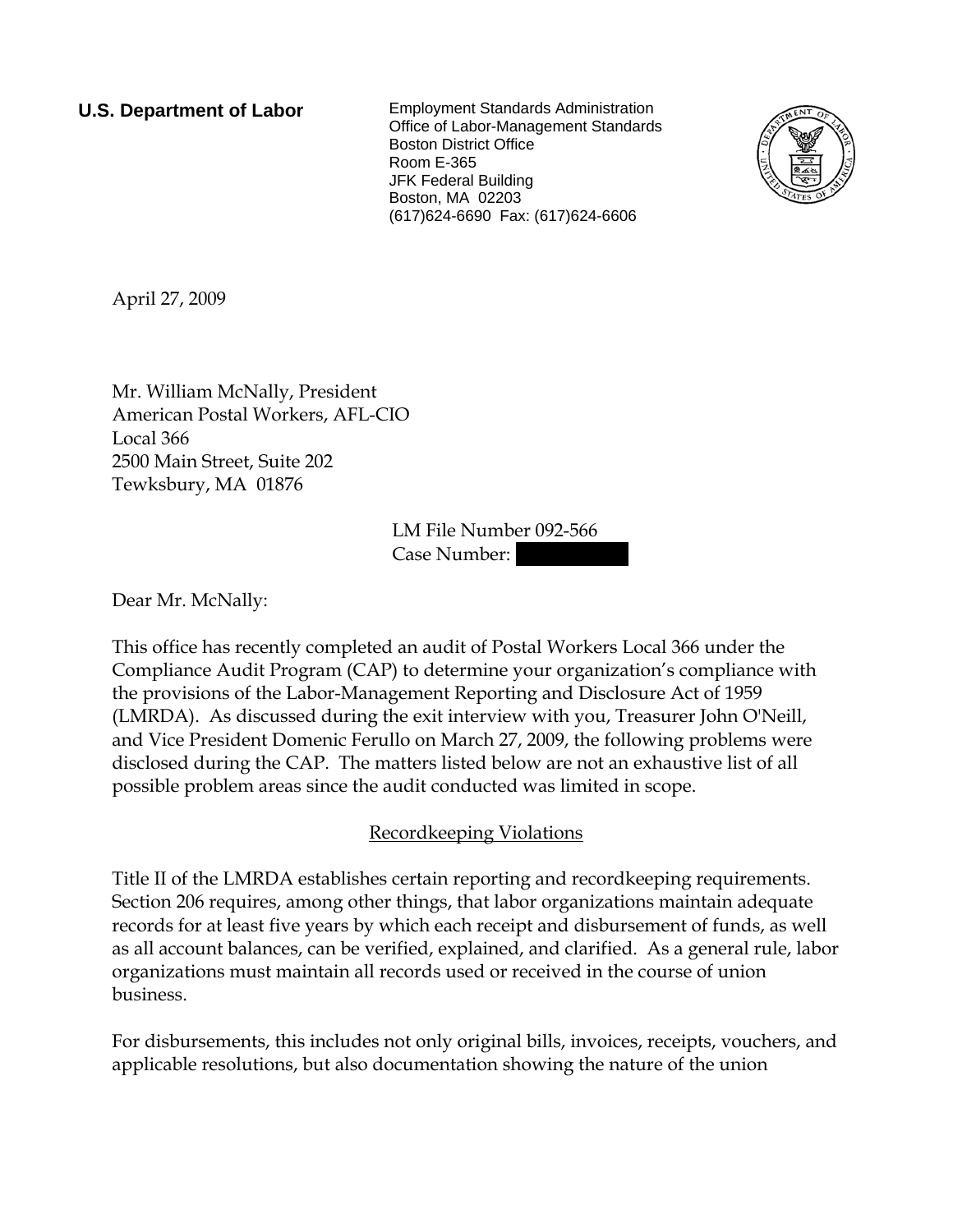**U.S. Department of Labor** Employment Standards Administration Office of Labor-Management Standards Boston District Office Room E-365 JFK Federal Building Boston, MA 02203 (617)624-6690 Fax: (617)624-6606



April 27, 2009

Mr. William McNally, President American Postal Workers, AFL-CIO Local 366 2500 Main Street, Suite 202 Tewksbury, MA 01876

> LM File Number 092-566 Case Number:

Dear Mr. McNally:

This office has recently completed an audit of Postal Workers Local 366 under the Compliance Audit Program (CAP) to determine your organization's compliance with the provisions of the Labor-Management Reporting and Disclosure Act of 1959 (LMRDA). As discussed during the exit interview with you, Treasurer John O'Neill, and Vice President Domenic Ferullo on March 27, 2009, the following problems were disclosed during the CAP. The matters listed below are not an exhaustive list of all possible problem areas since the audit conducted was limited in scope.

## Recordkeeping Violations

Title II of the LMRDA establishes certain reporting and recordkeeping requirements. Section 206 requires, among other things, that labor organizations maintain adequate records for at least five years by which each receipt and disbursement of funds, as well as all account balances, can be verified, explained, and clarified. As a general rule, labor organizations must maintain all records used or received in the course of union business.

For disbursements, this includes not only original bills, invoices, receipts, vouchers, and applicable resolutions, but also documentation showing the nature of the union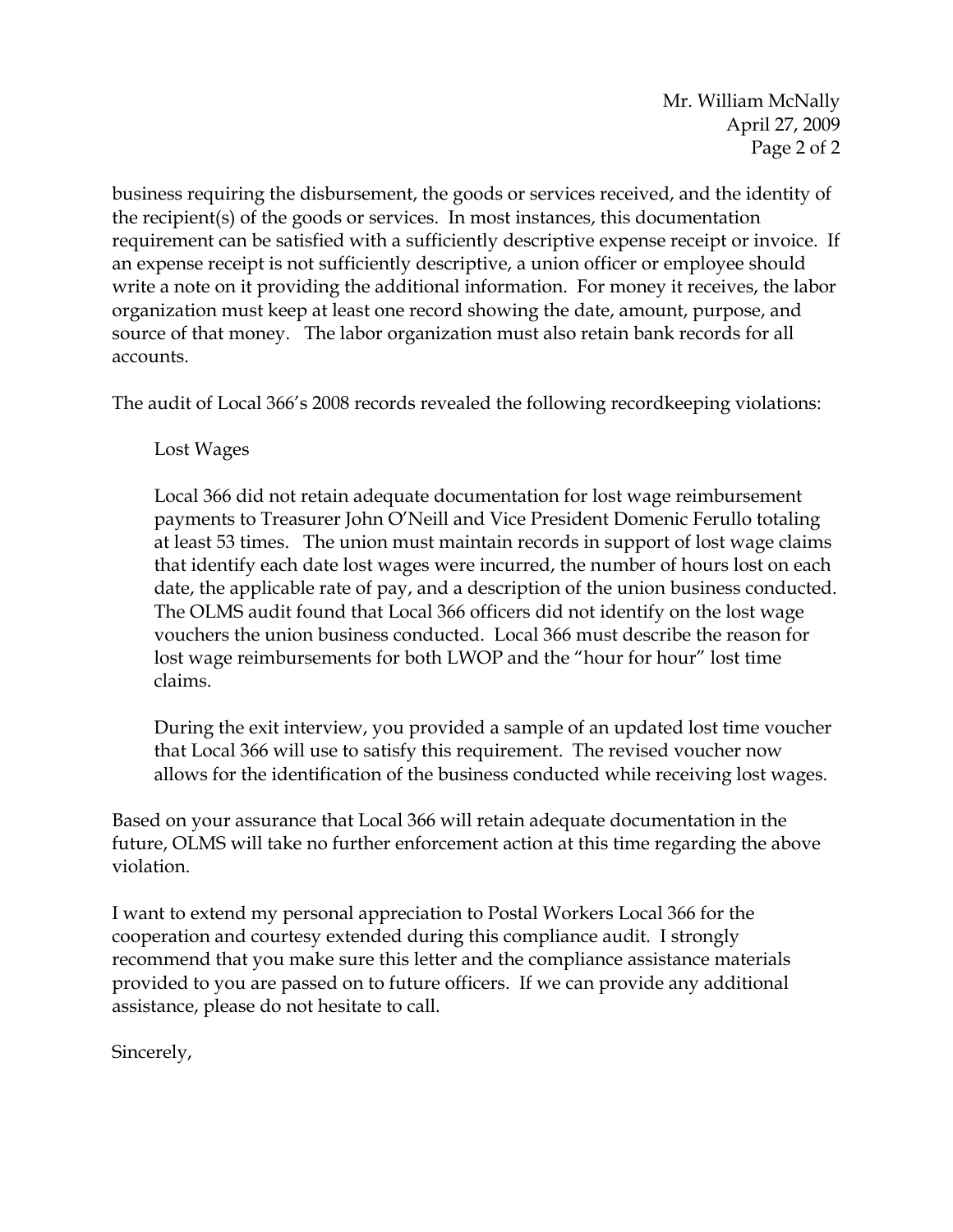Mr. William McNally April 27, 2009 Page 2 of 2

business requiring the disbursement, the goods or services received, and the identity of the recipient(s) of the goods or services. In most instances, this documentation requirement can be satisfied with a sufficiently descriptive expense receipt or invoice. If an expense receipt is not sufficiently descriptive, a union officer or employee should write a note on it providing the additional information. For money it receives, the labor organization must keep at least one record showing the date, amount, purpose, and source of that money. The labor organization must also retain bank records for all accounts.

The audit of Local 366's 2008 records revealed the following recordkeeping violations:

Lost Wages

Local 366 did not retain adequate documentation for lost wage reimbursement payments to Treasurer John O'Neill and Vice President Domenic Ferullo totaling at least 53 times. The union must maintain records in support of lost wage claims that identify each date lost wages were incurred, the number of hours lost on each date, the applicable rate of pay, and a description of the union business conducted. The OLMS audit found that Local 366 officers did not identify on the lost wage vouchers the union business conducted. Local 366 must describe the reason for lost wage reimbursements for both LWOP and the "hour for hour" lost time claims.

During the exit interview, you provided a sample of an updated lost time voucher that Local 366 will use to satisfy this requirement. The revised voucher now allows for the identification of the business conducted while receiving lost wages.

Based on your assurance that Local 366 will retain adequate documentation in the future, OLMS will take no further enforcement action at this time regarding the above violation.

I want to extend my personal appreciation to Postal Workers Local 366 for the cooperation and courtesy extended during this compliance audit. I strongly recommend that you make sure this letter and the compliance assistance materials provided to you are passed on to future officers. If we can provide any additional assistance, please do not hesitate to call.

Sincerely,